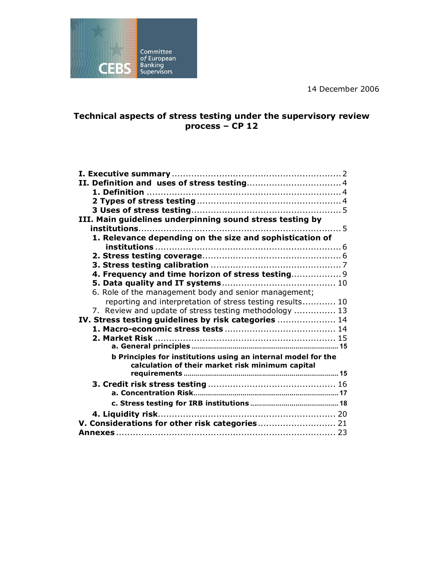14 December 2006



# **Technical aspects of stress testing under the supervisory review process – CP 12**

| III. Main guidelines underpinning sound stress testing by                                                         |
|-------------------------------------------------------------------------------------------------------------------|
|                                                                                                                   |
| 1. Relevance depending on the size and sophistication of                                                          |
|                                                                                                                   |
|                                                                                                                   |
|                                                                                                                   |
| 4. Frequency and time horizon of stress testing 9                                                                 |
|                                                                                                                   |
| 6. Role of the management body and senior management;                                                             |
| reporting and interpretation of stress testing results 10                                                         |
| 7. Review and update of stress testing methodology  13                                                            |
| IV. Stress testing guidelines by risk categories  14                                                              |
|                                                                                                                   |
|                                                                                                                   |
| b Principles for institutions using an internal model for the<br>calculation of their market risk minimum capital |
|                                                                                                                   |
|                                                                                                                   |
|                                                                                                                   |
|                                                                                                                   |
| V. Considerations for other risk categories 21                                                                    |
|                                                                                                                   |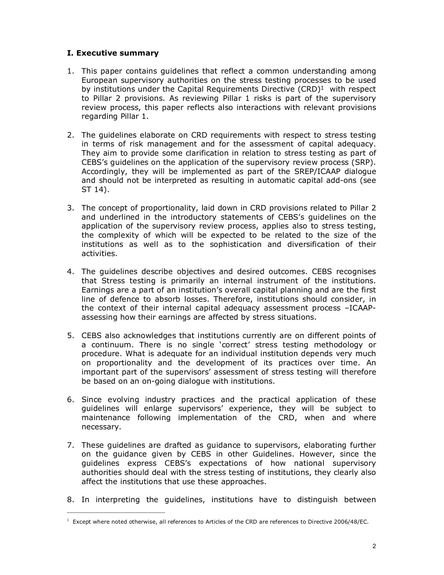## <span id="page-1-0"></span>**I. Executive summary**

- 1. This paper contains guidelines that reflect a common understanding among European supervisory authorities on the stress testing processes to be used by institutions under the Capital Requirements Directive (CRD)<sup>1</sup> with respect to Pillar 2 provisions. As reviewing Pillar 1 risks is part of the supervisory review process, this paper reflects also interactions with relevant provisions regarding Pillar 1.
- 2. The guidelines elaborate on CRD requirements with respect to stress testing in terms of risk management and for the assessment of capital adequacy. They aim to provide some clarification in relation to stress testing as part of CEBS's guidelines on the application of the supervisory review process (SRP). Accordingly, they will be implemented as part of the SREP/ICAAP dialogue and should not be interpreted as resulting in automatic capital add-ons (see ST 14).
- 3. The concept of proportionality, laid down in CRD provisions related to Pillar 2 and underlined in the introductory statements of CEBS's guidelines on the application of the supervisory review process, applies also to stress testing, the complexity of which will be expected to be related to the size of the institutions as well as to the sophistication and diversification of their activities.
- 4. The guidelines describe objectives and desired outcomes. CEBS recognises that Stress testing is primarily an internal instrument of the institutions. Earnings are a part of an institution's overall capital planning and are the first line of defence to absorb losses. Therefore, institutions should consider, in the context of their internal capital adequacy assessment process –ICAAPassessing how their earnings are affected by stress situations.
- 5. CEBS also acknowledges that institutions currently are on different points of a continuum. There is no single 'correct' stress testing methodology or procedure. What is adequate for an individual institution depends very much on proportionality and the development of its practices over time. An important part of the supervisors' assessment of stress testing will therefore be based on an on-going dialogue with institutions.
- 6. Since evolving industry practices and the practical application of these guidelines will enlarge supervisors' experience, they will be subject to maintenance following implementation of the CRD, when and where necessary.
- 7. These guidelines are drafted as guidance to supervisors, elaborating further on the guidance given by CEBS in other Guidelines. However, since the guidelines express CEBS's expectations of how national supervisory authorities should deal with the stress testing of institutions, they clearly also affect the institutions that use these approaches.
- 8. In interpreting the guidelines, institutions have to distinguish between

 $1$  Except where noted otherwise, all references to Articles of the CRD are references to Directive 2006/48/EC.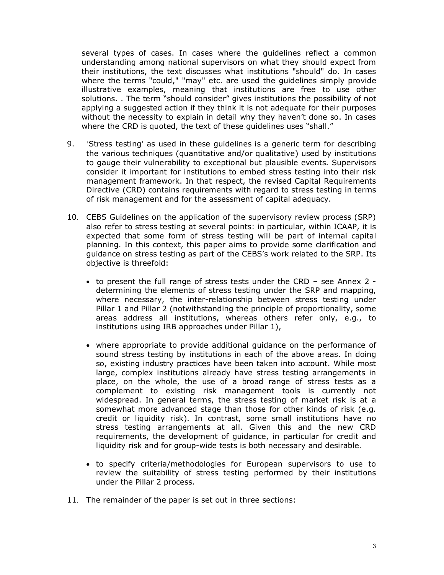several types of cases. In cases where the guidelines reflect a common understanding among national supervisors on what they should expect from their institutions, the text discusses what institutions "should" do. In cases where the terms "could," "may" etc. are used the guidelines simply provide illustrative examples, meaning that institutions are free to use other solutions. . The term "should consider" gives institutions the possibility of not applying a suggested action if they think it is not adequate for their purposes without the necessity to explain in detail why they haven't done so. In cases where the CRD is quoted, the text of these quidelines uses "shall."

- 9. 'Stress testing' as used in these guidelines is a generic term for describing the various techniques (quantitative and/or qualitative) used by institutions to gauge their vulnerability to exceptional but plausible events. Supervisors consider it important for institutions to embed stress testing into their risk management framework. In that respect, the revised Capital Requirements Directive (CRD) contains requirements with regard to stress testing in terms of risk management and for the assessment of capital adequacy.
- 10. CEBS Guidelines on the application of the supervisory review process (SRP) also refer to stress testing at several points: in particular, within ICAAP, it is expected that some form of stress testing will be part of internal capital planning. In this context, this paper aims to provide some clarification and guidance on stress testing as part of the CEBS's work related to the SRP. Its objective is threefold:
	- to present the full range of stress tests under the CRD see Annex 2 determining the elements of stress testing under the SRP and mapping, where necessary, the inter-relationship between stress testing under Pillar 1 and Pillar 2 (notwithstanding the principle of proportionality, some areas address all institutions, whereas others refer only, e.g., to institutions using IRB approaches under Pillar 1),
	- · where appropriate to provide additional guidance on the performance of sound stress testing by institutions in each of the above areas. In doing so, existing industry practices have been taken into account. While most large, complex institutions already have stress testing arrangements in place, on the whole, the use of a broad range of stress tests as a complement to existing risk management tools is currently not widespread. In general terms, the stress testing of market risk is at a somewhat more advanced stage than those for other kinds of risk (e.g. credit or liquidity risk). In contrast, some small institutions have no stress testing arrangements at all. Given this and the new CRD requirements, the development of guidance, in particular for credit and liquidity risk and for group-wide tests is both necessary and desirable.
	- · to specify criteria/methodologies for European supervisors to use to review the suitability of stress testing performed by their institutions under the Pillar 2 process.
- 11. The remainder of the paper is set out in three sections: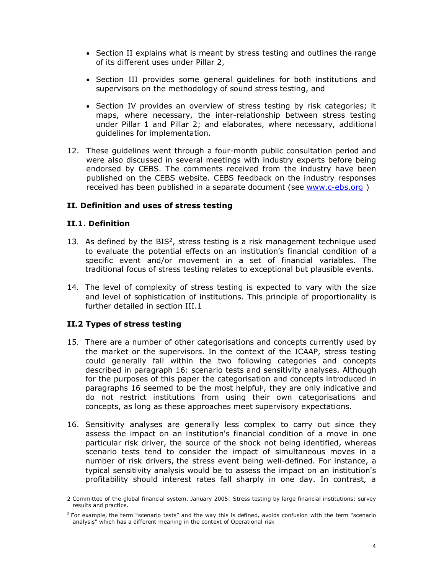- · Section II explains what is meant by stress testing and outlines the range of its different uses under Pillar 2,
- · Section III provides some general guidelines for both institutions and supervisors on the methodology of sound stress testing, and
- · Section IV provides an overview of stress testing by risk categories; it maps, where necessary, the inter-relationship between stress testing under Pillar 1 and Pillar 2; and elaborates, where necessary, additional guidelines for implementation.
- 12. These guidelines went through a four-month public consultation period and were also discussed in several meetings with industry experts before being endorsed by CEBS. The comments received from the industry have been published on the CEBS website. CEBS feedback on the industry responses received has been published in a separate document (see www.c-ebs.org)

## <span id="page-3-0"></span>**II. Definition and uses of stress testing**

## **II.1. Definition**

- <span id="page-3-1"></span>13. As defined by the  $BIS<sup>2</sup>$ , stress testing is a risk management technique used to evaluate the potential effects on an institution's financial condition of a specific event and/or movement in a set of financial variables. The traditional focus of stress testing relates to exceptional but plausible events.
- 14. The level of complexity of stress testing is expected to vary with the size and level of sophistication of institutions. This principle of proportionality is further detailed in section III.1

## **II.2 Types of stress testing**

- <span id="page-3-2"></span>15. There are a number of other categorisations and concepts currently used by the market or the supervisors. In the context of the ICAAP, stress testing could generally fall within the two following categories and concepts described in paragraph 16: scenario tests and sensitivity analyses. Although for the purposes of this paper the categorisation and concepts introduced in paragraphs 16 seemed to be the most helpful<sup>3</sup>, they are only indicative and do not restrict institutions from using their own categorisations and concepts, as long as these approaches meet supervisory expectations.
- 16. Sensitivity analyses are generally less complex to carry out since they assess the impact on an institution's financial condition of a move in one particular risk driver, the source of the shock not being identified, whereas scenario tests tend to consider the impact of simultaneous moves in a number of risk drivers, the stress event being well-defined. For instance, a typical sensitivity analysis would be to assess the impact on an institution's profitability should interest rates fall sharply in one day. In contrast, a

<sup>2</sup> Committee of the global financial system, January 2005: Stress testing by large financial institutions: survey results and practice.

<sup>&</sup>lt;sup>3</sup> For example, the term "scenario tests" and the way this is defined, avoids confusion with the term "scenario analysis" which has a different meaning in the context of Operational risk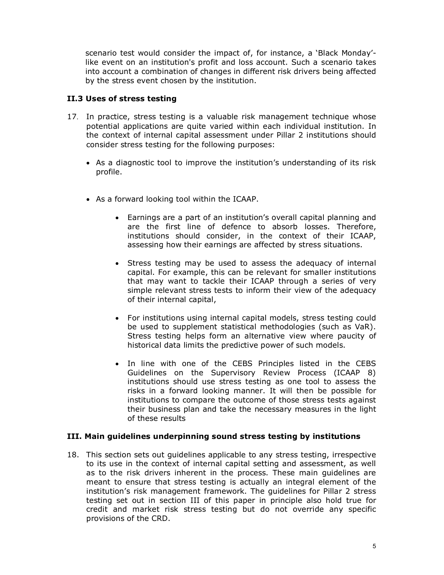<span id="page-4-0"></span>scenario test would consider the impact of, for instance, a 'Black Monday' like event on an institution's profit and loss account. Such a scenario takes into account a combination of changes in different risk drivers being affected by the stress event chosen by the institution.

## **II.3 Uses of stress testing**

- 17. In practice, stress testing is a valuable risk management technique whose potential applications are quite varied within each individual institution. In the context of internal capital assessment under Pillar 2 institutions should consider stress testing for the following purposes:
	- · As a diagnostic tool to improve the institution's understanding of its risk profile.
	- · As a forward looking tool within the ICAAP.
		- · Earnings are a part of an institution's overall capital planning and are the first line of defence to absorb losses. Therefore, institutions should consider, in the context of their ICAAP, assessing how their earnings are affected by stress situations.
		- · Stress testing may be used to assess the adequacy of internal capital. For example, this can be relevant for smaller institutions that may want to tackle their ICAAP through a series of very simple relevant stress tests to inform their view of the adequacy of their internal capital,
		- · For institutions using internal capital models, stress testing could be used to supplement statistical methodologies (such as VaR). Stress testing helps form an alternative view where paucity of historical data limits the predictive power of such models.
		- · In line with one of the CEBS Principles listed in the CEBS Guidelines on the Supervisory Review Process (ICAAP 8) institutions should use stress testing as one tool to assess the risks in a forward looking manner. It will then be possible for institutions to compare the outcome of those stress tests against their business plan and take the necessary measures in the light of these results

## **III. Main guidelines underpinning sound stress testing by institutions**

<span id="page-4-1"></span>18. This section sets out guidelines applicable to any stress testing, irrespective to its use in the context of internal capital setting and assessment, as well as to the risk drivers inherent in the process. These main guidelines are meant to ensure that stress testing is actually an integral element of the institution's risk management framework. The guidelines for Pillar 2 stress testing set out in section III of this paper in principle also hold true for credit and market risk stress testing but do not override any specific provisions of the CRD.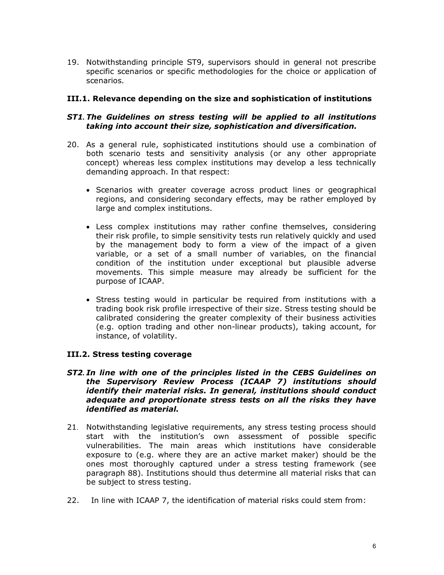19. Notwithstanding principle ST9, supervisors should in general not prescribe specific scenarios or specific methodologies for the choice or application of scenarios.

## **III.1. Relevance depending on the size and sophistication of institutions**

### *ST1. The Guidelines on stress testing will be applied to all institutions taking into account their size, sophistication and diversification.*

- <span id="page-5-0"></span>20. As a general rule, sophisticated institutions should use a combination of both scenario tests and sensitivity analysis (or any other appropriate concept) whereas less complex institutions may develop a less technically demanding approach. In that respect:
	- · Scenarios with greater coverage across product lines or geographical regions, and considering secondary effects, may be rather employed by large and complex institutions.
	- · Less complex institutions may rather confine themselves, considering their risk profile, to simple sensitivity tests run relatively quickly and used by the management body to form a view of the impact of a given variable, or a set of a small number of variables, on the financial condition of the institution under exceptional but plausible adverse movements. This simple measure may already be sufficient for the purpose of ICAAP.
	- · Stress testing would in particular be required from institutions with a trading book risk profile irrespective of their size. Stress testing should be calibrated considering the greater complexity of their business activities (e.g. option trading and other non-linear products), taking account, for instance, of volatility.

#### **III.2. Stress testing coverage**

#### *ST2. In line with one of the principles listed in the CEBS Guidelines on the Supervisory Review Process (ICAAP 7) institutions should identify their material risks. In general, institutions should conduct adequate and proportionate stress tests on all the risks they have identified as material.*

- <span id="page-5-1"></span>21. Notwithstanding legislative requirements, any stress testing process should start with the institution's own assessment of possible specific vulnerabilities. The main areas which institutions have considerable exposure to (e.g. where they are an active market maker) should be the ones most thoroughly captured under a stress testing framework (see paragraph 88). Institutions should thus determine all material risks that can be subject to stress testing.
- 22. In line with ICAAP 7, the identification of material risks could stem from: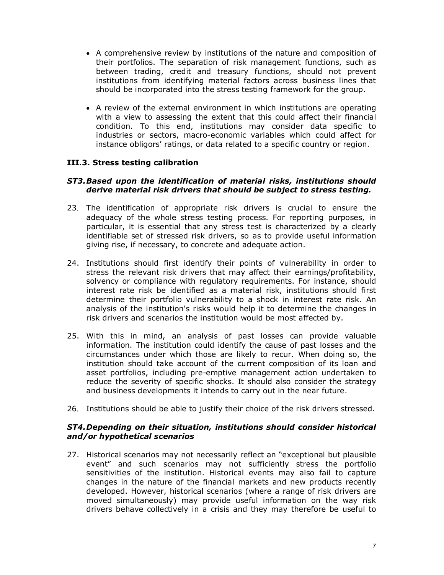- · A comprehensive review by institutions of the nature and composition of their portfolios. The separation of risk management functions, such as between trading, credit and treasury functions, should not prevent institutions from identifying material factors across business lines that should be incorporated into the stress testing framework for the group.
- · A review of the external environment in which institutions are operating with a view to assessing the extent that this could affect their financial condition. To this end, institutions may consider data specific to industries or sectors, macro-economic variables which could affect for instance obligors' ratings, or data related to a specific country or region.

## **III.3. Stress testing calibration**

### *ST3.Based upon the identification of material risks, institutions should derive material risk drivers that should be subject to stress testing.*

- <span id="page-6-0"></span>23. The identification of appropriate risk drivers is crucial to ensure the adequacy of the whole stress testing process. For reporting purposes, in particular, it is essential that any stress test is characterized by a clearly identifiable set of stressed risk drivers, so as to provide useful information giving rise, if necessary, to concrete and adequate action.
- 24. Institutions should first identify their points of vulnerability in order to stress the relevant risk drivers that may affect their earnings/profitability, solvency or compliance with regulatory requirements. For instance, should interest rate risk be identified as a material risk, institutions should first determine their portfolio vulnerability to a shock in interest rate risk. An analysis of the institution's risks would help it to determine the changes in risk drivers and scenarios the institution would be most affected by.
- 25. With this in mind, an analysis of past losses can provide valuable information. The institution could identify the cause of past losses and the circumstances under which those are likely to recur. When doing so, the institution should take account of the current composition of its loan and asset portfolios, including pre-emptive management action undertaken to reduce the severity of specific shocks. It should also consider the strategy and business developments it intends to carry out in the near future.
- 26. Institutions should be able to justify their choice of the risk drivers stressed.

### *ST4.Depending on their situation, institutions should consider historical and/or hypothetical scenarios*

27. Historical scenarios may not necessarily reflect an "exceptional but plausible event" and such scenarios may not sufficiently stress the portfolio sensitivities of the institution. Historical events may also fail to capture changes in the nature of the financial markets and new products recently developed. However, historical scenarios (where a range of risk drivers are moved simultaneously) may provide useful information on the way risk drivers behave collectively in a crisis and they may therefore be useful to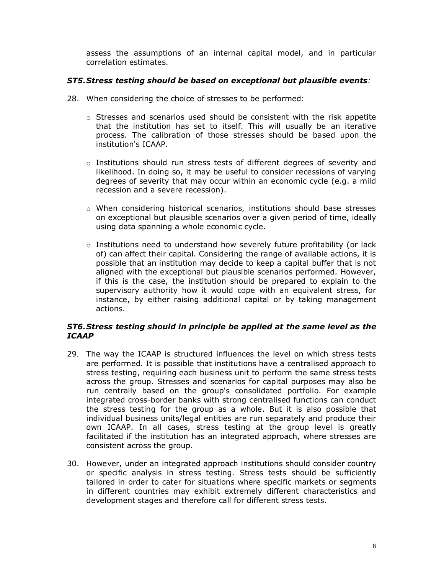assess the assumptions of an internal capital model, and in particular correlation estimates.

## *ST5.Stress testing should be based on exceptional but plausible events:*

- 28. When considering the choice of stresses to be performed:
	- $\circ$  Stresses and scenarios used should be consistent with the risk appetite that the institution has set to itself. This will usually be an iterative process. The calibration of those stresses should be based upon the institution's ICAAP.
	- $\circ$  Institutions should run stress tests of different degrees of severity and likelihood. In doing so, it may be useful to consider recessions of varying degrees of severity that may occur within an economic cycle (e.g. a mild recession and a severe recession).
	- $\circ$  When considering historical scenarios, institutions should base stresses on exceptional but plausible scenarios over a given period of time, ideally using data spanning a whole economic cycle.
	- $\circ$  Institutions need to understand how severely future profitability (or lack of) can affect their capital. Considering the range of available actions, it is possible that an institution may decide to keep a capital buffer that is not aligned with the exceptional but plausible scenarios performed. However, if this is the case, the institution should be prepared to explain to the supervisory authority how it would cope with an equivalent stress, for instance, by either raising additional capital or by taking management actions.

# *ST6.Stress testing should in principle be applied at the same level as the ICAAP*

- 29. The way the ICAAP is structured influences the level on which stress tests are performed. It is possible that institutions have a centralised approach to stress testing, requiring each business unit to perform the same stress tests across the group. Stresses and scenarios for capital purposes may also be run centrally based on the group's consolidated portfolio. For example integrated cross-border banks with strong centralised functions can conduct the stress testing for the group as a whole. But it is also possible that individual business units/legal entities are run separately and produce their own ICAAP. In all cases, stress testing at the group level is greatly facilitated if the institution has an integrated approach, where stresses are consistent across the group.
- 30. However, under an integrated approach institutions should consider country or specific analysis in stress testing. Stress tests should be sufficiently tailored in order to cater for situations where specific markets or segments in different countries may exhibit extremely different characteristics and development stages and therefore call for different stress tests.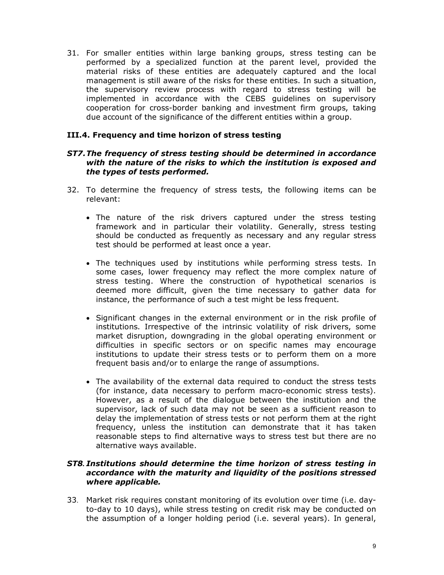31. For smaller entities within large banking groups, stress testing can be performed by a specialized function at the parent level, provided the material risks of these entities are adequately captured and the local management is still aware of the risks for these entities. In such a situation, the supervisory review process with regard to stress testing will be implemented in accordance with the CEBS guidelines on supervisory cooperation for cross-border banking and investment firm groups, taking due account of the significance of the different entities within a group.

## **III.4. Frequency and time horizon of stress testing**

#### <span id="page-8-0"></span>*ST7.The frequency of stress testing should be determined in accordance with the nature of the risks to which the institution is exposed and the types of tests performed.*

- 32. To determine the frequency of stress tests, the following items can be relevant:
	- · The nature of the risk drivers captured under the stress testing framework and in particular their volatility. Generally, stress testing should be conducted as frequently as necessary and any regular stress test should be performed at least once a year.
	- · The techniques used by institutions while performing stress tests. In some cases, lower frequency may reflect the more complex nature of stress testing. Where the construction of hypothetical scenarios is deemed more difficult, given the time necessary to gather data for instance, the performance of such a test might be less frequent.
	- · Significant changes in the external environment or in the risk profile of institutions. Irrespective of the intrinsic volatility of risk drivers, some market disruption, downgrading in the global operating environment or difficulties in specific sectors or on specific names may encourage institutions to update their stress tests or to perform them on a more frequent basis and/or to enlarge the range of assumptions.
	- · The availability of the external data required to conduct the stress tests (for instance, data necessary to perform macro-economic stress tests). However, as a result of the dialogue between the institution and the supervisor, lack of such data may not be seen as a sufficient reason to delay the implementation of stress tests or not perform them at the right frequency, unless the institution can demonstrate that it has taken reasonable steps to find alternative ways to stress test but there are no alternative ways available.

#### *ST8. Institutions should determine the time horizon of stress testing in accordance with the maturity and liquidity of the positions stressed where applicable.*

33. Market risk requires constant monitoring of its evolution over time (i.e. dayto-day to 10 days), while stress testing on credit risk may be conducted on the assumption of a longer holding period (i.e. several years). In general,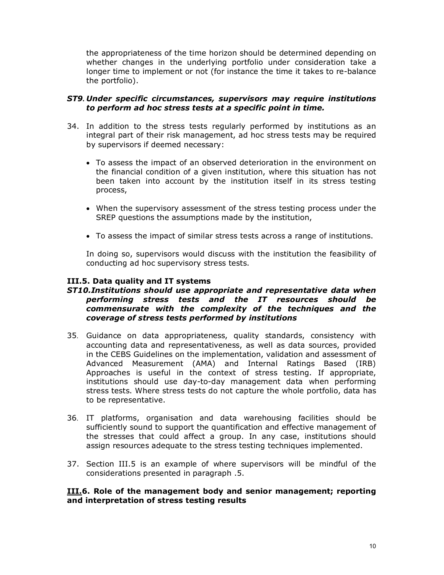the appropriateness of the time horizon should be determined depending on whether changes in the underlying portfolio under consideration take a longer time to implement or not (for instance the time it takes to re-balance the portfolio).

## *ST9. Under specific circumstances, supervisors may require institutions to perform ad hoc stress tests at a specific point in time.*

- 34. In addition to the stress tests regularly performed by institutions as an integral part of their risk management, ad hoc stress tests may be required by supervisors if deemed necessary:
	- · To assess the impact of an observed deterioration in the environment on the financial condition of a given institution, where this situation has not been taken into account by the institution itself in its stress testing process,
	- · When the supervisory assessment of the stress testing process under the SREP questions the assumptions made by the institution,
	- · To assess the impact of similar stress tests across a range of institutions.

In doing so, supervisors would discuss with the institution the feasibility of conducting ad hoc supervisory stress tests.

### **III.5. Data quality and IT systems**

#### *ST10.Institutions should use appropriate and representative data when performing stress tests and the IT resources should be commensurate with the complexity of the techniques and the coverage of stress tests performed by institutions*

- <span id="page-9-0"></span>35. Guidance on data appropriateness, quality standards, consistency with accounting data and representativeness, as well as data sources, provided in the CEBS Guidelines on the implementation, validation and assessment of Advanced Measurement (AMA) and Internal Ratings Based (IRB) Approaches is useful in the context of stress testing. If appropriate, institutions should use day-to-day management data when performing stress tests. Where stress tests do not capture the whole portfolio, data has to be representative.
- 36. IT platforms, organisation and data warehousing facilities should be sufficiently sound to support the quantification and effective management of the stresses that could affect a group. In any case, institutions should assign resources adequate to the stress testing techniques implemented.
- 37. Section III.5 is an example of where supervisors will be mindful of the considerations presented in paragraph .5.

#### **III.6. Role of the management body and senior management; reporting and interpretation of stress testing results**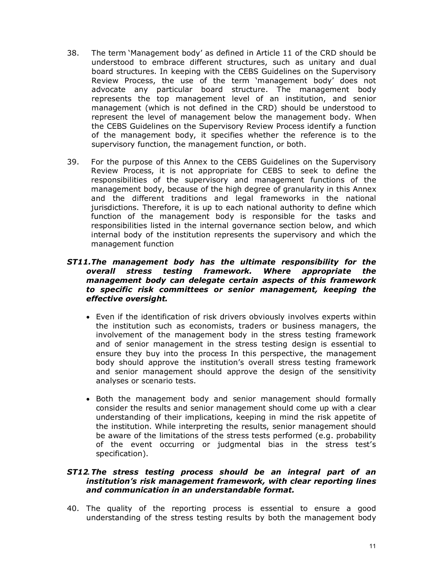- <span id="page-10-0"></span>38. The term 'Management body' as defined in Article 11 of the CRD should be understood to embrace different structures, such as unitary and dual board structures. In keeping with the CEBS Guidelines on the Supervisory Review Process, the use of the term 'management body' does not advocate any particular board structure. The management body represents the top management level of an institution, and senior management (which is not defined in the CRD) should be understood to represent the level of management below the management body. When the CEBS Guidelines on the Supervisory Review Process identify a function of the management body, it specifies whether the reference is to the supervisory function, the management function, or both.
- 39. For the purpose of this Annex to the CEBS Guidelines on the Supervisory Review Process, it is not appropriate for CEBS to seek to define the responsibilities of the supervisory and management functions of the management body, because of the high degree of granularity in this Annex and the different traditions and legal frameworks in the national jurisdictions. Therefore, it is up to each national authority to define which function of the management body is responsible for the tasks and responsibilities listed in the internal governance section below, and which internal body of the institution represents the supervisory and which the management function

## *ST11.The management body has the ultimate responsibility for the overall stress testing framework. Where appropriate the management body can delegate certain aspects of this framework to specific risk committees or senior management, keeping the effective oversight.*

- · Even if the identification of risk drivers obviously involves experts within the institution such as economists, traders or business managers, the involvement of the management body in the stress testing framework and of senior management in the stress testing design is essential to ensure they buy into the process In this perspective, the management body should approve the institution's overall stress testing framework and senior management should approve the design of the sensitivity analyses or scenario tests.
- · Both the management body and senior management should formally consider the results and senior management should come up with a clear understanding of their implications, keeping in mind the risk appetite of the institution. While interpreting the results, senior management should be aware of the limitations of the stress tests performed (e.g. probability of the event occurring or judgmental bias in the stress test's specification).

#### *ST12.The stress testing process should be an integral part of an institution's risk management framework, with clear reporting lines and communication in an understandable format.*

40. The quality of the reporting process is essential to ensure a good understanding of the stress testing results by both the management body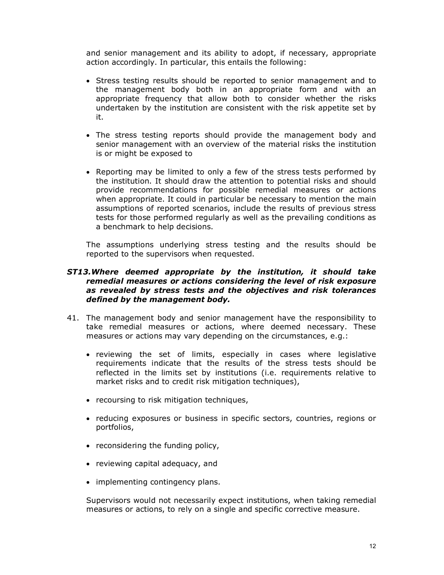and senior management and its ability to adopt, if necessary, appropriate action accordingly. In particular, this entails the following:

- · Stress testing results should be reported to senior management and to the management body both in an appropriate form and with an appropriate frequency that allow both to consider whether the risks undertaken by the institution are consistent with the risk appetite set by it.
- · The stress testing reports should provide the management body and senior management with an overview of the material risks the institution is or might be exposed to
- · Reporting may be limited to only a few of the stress tests performed by the institution. It should draw the attention to potential risks and should provide recommendations for possible remedial measures or actions when appropriate. It could in particular be necessary to mention the main assumptions of reported scenarios, include the results of previous stress tests for those performed regularly as well as the prevailing conditions as a benchmark to help decisions.

The assumptions underlying stress testing and the results should be reported to the supervisors when requested.

#### *ST13.Where deemed appropriate by the institution, it should take remedial measures or actions considering the level of risk exposure as revealed by stress tests and the objectives and risk tolerances defined by the management body.*

- 41. The management body and senior management have the responsibility to take remedial measures or actions, where deemed necessary. These measures or actions may vary depending on the circumstances, e.g.:
	- · reviewing the set of limits, especially in cases where legislative requirements indicate that the results of the stress tests should be reflected in the limits set by institutions (i.e. requirements relative to market risks and to credit risk mitigation techniques),
	- · recoursing to risk mitigation techniques,
	- · reducing exposures or business in specific sectors, countries, regions or portfolios,
	- · reconsidering the funding policy,
	- · reviewing capital adequacy, and
	- · implementing contingency plans.

Supervisors would not necessarily expect institutions, when taking remedial measures or actions, to rely on a single and specific corrective measure.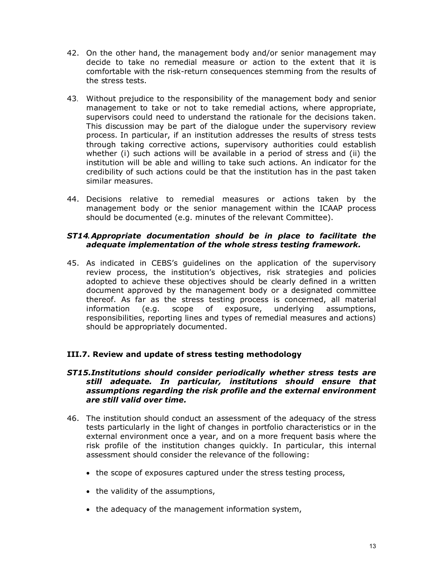- 42. On the other hand, the management body and/or senior management may decide to take no remedial measure or action to the extent that it is comfortable with the risk-return consequences stemming from the results of the stress tests.
- 43. Without prejudice to the responsibility of the management body and senior management to take or not to take remedial actions, where appropriate, supervisors could need to understand the rationale for the decisions taken. This discussion may be part of the dialogue under the supervisory review process. In particular, if an institution addresses the results of stress tests through taking corrective actions, supervisory authorities could establish whether (i) such actions will be available in a period of stress and (ii) the institution will be able and willing to take such actions. An indicator for the credibility of such actions could be that the institution has in the past taken similar measures.
- 44. Decisions relative to remedial measures or actions taken by the management body or the senior management within the ICAAP process should be documented (e.g. minutes of the relevant Committee).

## *ST14.Appropriate documentation should be in place to facilitate the adequate implementation of the whole stress testing framework.*

45. As indicated in CEBS's guidelines on the application of the supervisory review process, the institution's objectives, risk strategies and policies adopted to achieve these objectives should be clearly defined in a written document approved by the management body or a designated committee thereof. As far as the stress testing process is concerned, all material information (e.g. scope of exposure, underlying assumptions, responsibilities, reporting lines and types of remedial measures and actions) should be appropriately documented.

## **III.7. Review and update of stress testing methodology**

#### *ST15.Institutions should consider periodically whether stress tests are still adequate. In particular, institutions should ensure that assumptions regarding the risk profile and the external environment are still valid over time.*

- <span id="page-12-0"></span>46. The institution should conduct an assessment of the adequacy of the stress tests particularly in the light of changes in portfolio characteristics or in the external environment once a year, and on a more frequent basis where the risk profile of the institution changes quickly. In particular, this internal assessment should consider the relevance of the following:
	- · the scope of exposures captured under the stress testing process,
	- · the validity of the assumptions,
	- · the adequacy of the management information system,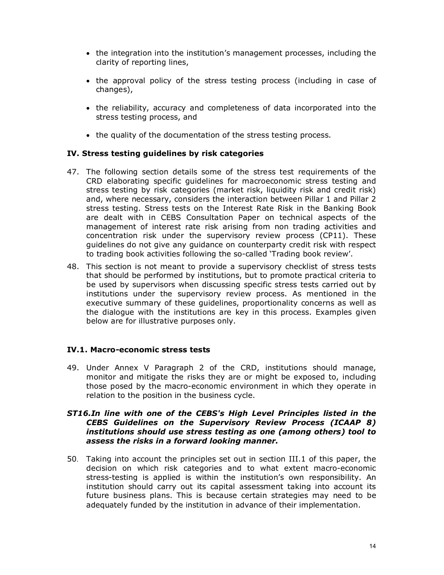- · the integration into the institution's management processes, including the clarity of reporting lines,
- · the approval policy of the stress testing process (including in case of changes),
- · the reliability, accuracy and completeness of data incorporated into the stress testing process, and
- · the quality of the documentation of the stress testing process.

### **IV. Stress testing guidelines by risk categories**

- 47. The following section details some of the stress test requirements of the CRD elaborating specific guidelines for macroeconomic stress testing and stress testing by risk categories (market risk, liquidity risk and credit risk) and, where necessary, considers the interaction between Pillar 1 and Pillar 2 stress testing. Stress tests on the Interest Rate Risk in the Banking Book are dealt with in CEBS Consultation Paper on technical aspects of the management of interest rate risk arising from non trading activities and concentration risk under the supervisory review process (CP11). These guidelines do not give any guidance on counterparty credit risk with respect to trading book activities following the so-called 'Trading book review'.
- <span id="page-13-0"></span>48. This section is not meant to provide a supervisory checklist of stress tests that should be performed by institutions, but to promote practical criteria to be used by supervisors when discussing specific stress tests carried out by institutions under the supervisory review process. As mentioned in the executive summary of these guidelines, proportionality concerns as well as the dialogue with the institutions are key in this process. Examples given below are for illustrative purposes only.

#### **IV.1. Macro-economic stress tests**

49. Under Annex V Paragraph 2 of the CRD, institutions should manage, monitor and mitigate the risks they are or might be exposed to, including those posed by the macro-economic environment in which they operate in relation to the position in the business cycle.

### *ST16.In line with one of the CEBS's High Level Principles listed in the CEBS Guidelines on the Supervisory Review Process (ICAAP 8) institutions should use stress testing as one (among others) tool to assess the risks in a forward looking manner.*

<span id="page-13-1"></span>50. Taking into account the principles set out in section III.1 of this paper, the decision on which risk categories and to what extent macro-economic stress-testing is applied is within the institution's own responsibility. An institution should carry out its capital assessment taking into account its future business plans. This is because certain strategies may need to be adequately funded by the institution in advance of their implementation.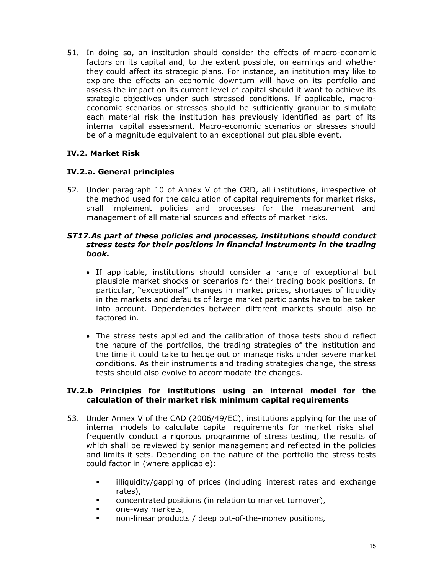51. In doing so, an institution should consider the effects of macro-economic factors on its capital and, to the extent possible, on earnings and whether they could affect its strategic plans. For instance, an institution may like to explore the effects an economic downturn will have on its portfolio and assess the impact on its current level of capital should it want to achieve its strategic objectives under such stressed conditions. If applicable, macroeconomic scenarios or stresses should be sufficiently granular to simulate each material risk the institution has previously identified as part of its internal capital assessment. Macro-economic scenarios or stresses should be of a magnitude equivalent to an exceptional but plausible event.

# **IV.2. Market Risk**

# **IV.2.a. General principles**

52. Under paragraph 10 of Annex V of the CRD, all institutions, irrespective of the method used for the calculation of capital requirements for market risks, shall implement policies and processes for the measurement and management of all material sources and effects of market risks.

#### *ST17.As part of these policies and processes, institutions should conduct stress tests for their positions in financial instruments in the trading book.*

- <span id="page-14-1"></span><span id="page-14-0"></span>· If applicable, institutions should consider a range of exceptional but plausible market shocks or scenarios for their trading book positions. In particular, "exceptional" changes in market prices, shortages of liquidity in the markets and defaults of large market participants have to be taken into account. Dependencies between different markets should also be factored in.
- · The stress tests applied and the calibration of those tests should reflect the nature of the portfolios, the trading strategies of the institution and the time it could take to hedge out or manage risks under severe market conditions. As their instruments and trading strategies change, the stress tests should also evolve to accommodate the changes.

### **IV.2.b Principles for institutions using an internal model for the calculation of their market risk minimum capital requirements**

- <span id="page-14-2"></span>53. Under Annex V of the CAD (2006/49/EC), institutions applying for the use of internal models to calculate capital requirements for market risks shall frequently conduct a rigorous programme of stress testing, the results of which shall be reviewed by senior management and reflected in the policies and limits it sets. Depending on the nature of the portfolio the stress tests could factor in (where applicable):
	- **EXED** illiquidity/gapping of prices (including interest rates and exchange rates),
	- **EXECO concentrated positions (in relation to market turnover),**
	- **EXECUTE:** One-way markets,
	- **non-linear products / deep out-of-the-money positions,**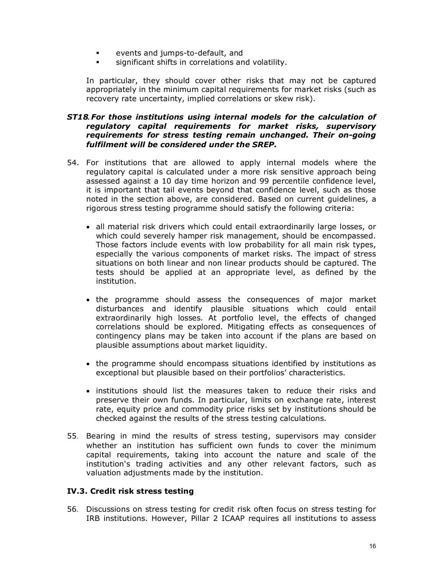- **Example 2** events and jumps-to-default, and
- significant shifts in correlations and volatility.

In particular, they should cover other risks that may not be captured appropriately in the minimum capital requirements for market risks (such as recovery rate uncertainty, implied correlations or skew risk).

#### *ST18.For those institutions using internal models for the calculation of regulatory capital requirements for market risks, supervisory requirements for stress testing remain unchanged. Their ongoing fulfilment will be considered under the SREP.*

- 54. For institutions that are allowed to apply internal models where the regulatory capital is calculated under a more risk sensitive approach being assessed against a 10 day time horizon and 99 percentile confidence level, it is important that tail events beyond that confidence level, such as those noted in the section above, are considered. Based on current guidelines, a rigorous stress testing programme should satisfy the following criteria:
	- · all material risk drivers which could entail extraordinarily large losses, or which could severely hamper risk management, should be encompassed. Those factors include events with low probability for all main risk types, especially the various components of market risks. The impact of stress situations on both linear and non linear products should be captured. The tests should be applied at an appropriate level, as defined by the institution.
	- · the programme should assess the consequences of major market disturbances and identify plausible situations which could entail extraordinarily high losses. At portfolio level, the effects of changed correlations should be explored. Mitigating effects as consequences of contingency plans may be taken into account if the plans are based on plausible assumptions about market liquidity.
	- · the programme should encompass situations identified by institutions as exceptional but plausible based on their portfolios' characteristics.
	- · institutions should list the measures taken to reduce their risks and preserve their own funds. In particular, limits on exchange rate, interest rate, equity price and commodity price risks set by institutions should be checked against the results of the stress testing calculations.
- 55. Bearing in mind the results of stress testing, supervisors may consider whether an institution has sufficient own funds to cover the minimum capital requirements, taking into account the nature and scale of the institution's trading activities and any other relevant factors, such as valuation adjustments made by the institution.

## **IV.3. Credit risk stress testing**

56. Discussions on stress testing for credit risk often focus on stress testing for IRB institutions. However, Pillar 2 ICAAP requires all institutions to assess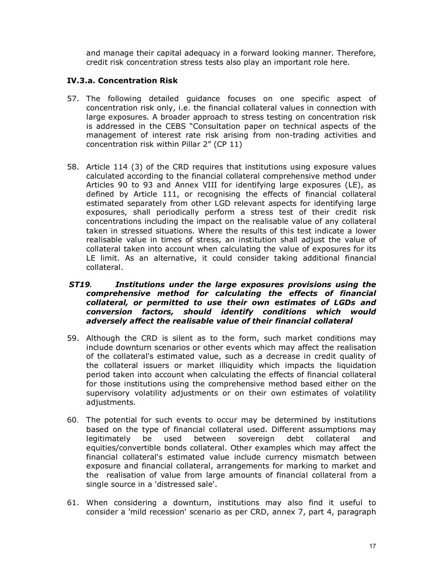and manage their capital adequacy in a forward looking manner. Therefore, credit risk concentration stress tests also play an important role here.

## **IV.3.a. Concentration Risk**

- 57. The following detailed guidance focuses on one specific aspect of concentration risk only, i.e. the financial collateral values in connection with large exposures. A broader approach to stress testing on concentration risk is addressed in the CEBS "Consultation paper on technical aspects of the management of interest rate risk arising from non-trading activities and concentration risk within Pillar 2" (CP 11)
- <span id="page-16-1"></span><span id="page-16-0"></span>58. Article 114 (3) of the CRD requires that institutions using exposure values calculated according to the financial collateral comprehensive method under Articles 90 to 93 and Annex VIII for identifying large exposures (LE), as defined by Article 111, or recognising the effects of financial collateral estimated separately from other LGD relevant aspects for identifying large exposures, shall periodically perform a stress test of their credit risk concentrations including the impact on the realisable value of any collateral taken in stressed situations. Where the results of this test indicate a lower realisable value in times of stress, an institution shall adjust the value of collateral taken into account when calculating the value of exposures for its LE limit. As an alternative, it could consider taking additional financial collateral.

#### *ST19. Institutions under the large exposures provisions using the comprehensive method for calculating the effects of financial collateral, or permitted to use their own estimates of LGDs and conversion factors, should identify conditions which would adversely affect the realisable value of their financial collateral*

- 59. Although the CRD is silent as to the form, such market conditions may include downturn scenarios or other events which may affect the realisation of the collateral's estimated value, such as a decrease in credit quality of the collateral issuers or market illiquidity which impacts the liquidation period taken into account when calculating the effects of financial collateral for those institutions using the comprehensive method based either on the supervisory volatility adjustments or on their own estimates of volatility adjustments.
- 60. The potential for such events to occur may be determined by institutions based on the type of financial collateral used. Different assumptions may legitimately be used between sovereign debt collateral and equities/convertible bonds collateral. Other examples which may affect the financial collateral's estimated value include currency mismatch between exposure and financial collateral, arrangements for marking to market and the realisation of value from large amounts of financial collateral from a single source in a 'distressed sale'.
- 61. When considering a downturn, institutions may also find it useful to consider a 'mild recession' scenario as per CRD, annex 7, part 4, paragraph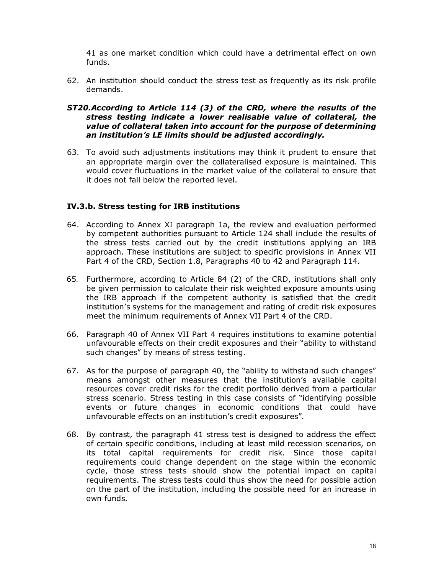41 as one market condition which could have a detrimental effect on own funds.

62. An institution should conduct the stress test as frequently as its risk profile demands.

#### *ST20.According to Article 114 (3) of the CRD, where the results of the stress testing indicate a lower realisable value of collateral, the value of collateral taken into account for the purpose of determining an institution's LE limits should be adjusted accordingly.*

63. To avoid such adjustments institutions may think it prudent to ensure that an appropriate margin over the collateralised exposure is maintained. This would cover fluctuations in the market value of the collateral to ensure that it does not fall below the reported level.

### **IV.3.b. Stress testing for IRB institutions**

- 64. According to Annex XI paragraph 1a, the review and evaluation performed by competent authorities pursuant to Article 124 shall include the results of the stress tests carried out by the credit institutions applying an IRB approach. These institutions are subject to specific provisions in Annex VII Part 4 of the CRD, Section 1.8, Paragraphs 40 to 42 and Paragraph 114.
- 65. Furthermore, according to Article 84 (2) of the CRD, institutions shall only be given permission to calculate their risk weighted exposure amounts using the IRB approach if the competent authority is satisfied that the credit institution's systems for the management and rating of credit risk exposures meet the minimum requirements of Annex VII Part 4 of the CRD.
- <span id="page-17-0"></span>66. Paragraph 40 of Annex VII Part 4 requires institutions to examine potential unfavourable effects on their credit exposures and their "ability to withstand such changes" by means of stress testing.
- 67. As for the purpose of paragraph 40, the "ability to withstand such changes" means amongst other measures that the institution's available capital resources cover credit risks for the credit portfolio derived from a particular stress scenario. Stress testing in this case consists of "identifying possible events or future changes in economic conditions that could have unfavourable effects on an institution's credit exposures".
- 68. By contrast, the paragraph 41 stress test is designed to address the effect of certain specific conditions, including at least mild recession scenarios, on its total capital requirements for credit risk. Since those capital requirements could change dependent on the stage within the economic cycle, those stress tests should show the potential impact on capital requirements. The stress tests could thus show the need for possible action on the part of the institution, including the possible need for an increase in own funds.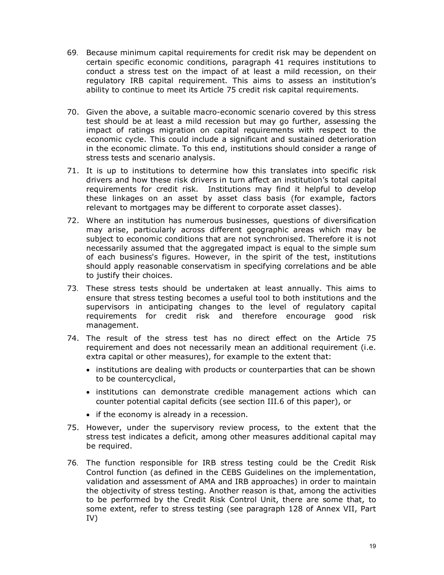- 69. Because minimum capital requirements for credit risk may be dependent on certain specific economic conditions, paragraph 41 requires institutions to conduct a stress test on the impact of at least a mild recession, on their regulatory IRB capital requirement. This aims to assess an institution's ability to continue to meet its Article 75 credit risk capital requirements.
- 70. Given the above, a suitable macro-economic scenario covered by this stress test should be at least a mild recession but may go further, assessing the impact of ratings migration on capital requirements with respect to the economic cycle. This could include a significant and sustained deterioration in the economic climate. To this end, institutions should consider a range of stress tests and scenario analysis.
- 71. It is up to institutions to determine how this translates into specific risk drivers and how these risk drivers in turn affect an institution's total capital requirements for credit risk. Institutions may find it helpful to develop these linkages on an asset by asset class basis (for example, factors relevant to mortgages may be different to corporate asset classes).
- 72. Where an institution has numerous businesses, questions of diversification may arise, particularly across different geographic areas which may be subject to economic conditions that are not synchronised. Therefore it is not necessarily assumed that the aggregated impact is equal to the simple sum of each business's figures. However, in the spirit of the test, institutions should apply reasonable conservatism in specifying correlations and be able to justify their choices.
- 73. These stress tests should be undertaken at least annually. This aims to ensure that stress testing becomes a useful tool to both institutions and the supervisors in anticipating changes to the level of regulatory capital requirements for credit risk and therefore encourage good risk management.
- 74. The result of the stress test has no direct effect on the Article 75 requirement and does not necessarily mean an additional requirement (i.e. extra capital or other measures), for example to the extent that:
	- · institutions are dealing with products or counterparties that can be shown to be countercyclical,
	- · institutions can demonstrate credible management actions which can counter potential capital deficits (see section III.6 of this paper), or
	- if the economy is already in a recession.
- 75. However, under the supervisory review process, to the extent that the stress test indicates a deficit, among other measures additional capital may be required.
- 76. The function responsible for IRB stress testing could be the Credit Risk Control function (as defined in the CEBS Guidelines on the implementation, validation and assessment of AMA and IRB approaches) in order to maintain the objectivity of stress testing. Another reason is that, among the activities to be performed by the Credit Risk Control Unit, there are some that, to some extent, refer to stress testing (see paragraph 128 of Annex VII, Part IV)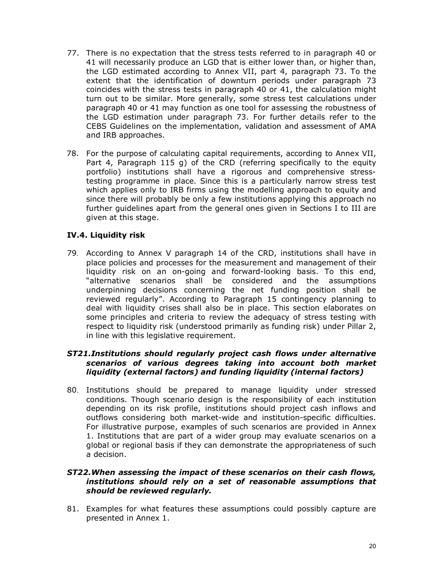- 77. There is no expectation that the stress tests referred to in paragraph 40 or 41 will necessarily produce an LGD that is either lower than, or higher than, the LGD estimated according to Annex VII, part 4, paragraph 73. To the extent that the identification of downturn periods under paragraph 73 coincides with the stress tests in paragraph 40 or 41, the calculation might turn out to be similar. More generally, some stress test calculations under paragraph 40 or 41 may function as one tool for assessing the robustness of the LGD estimation under paragraph 73. For further details refer to the CEBS Guidelines on the implementation, validation and assessment of AMA and IRB approaches.
- 78. For the purpose of calculating capital requirements, according to Annex VII, Part 4, Paragraph 115 g) of the CRD (referring specifically to the equity portfolio) institutions shall have a rigorous and comprehensive stresstesting programme in place. Since this is a particularly narrow stress test which applies only to IRB firms using the modelling approach to equity and since there will probably be only a few institutions applying this approach no further guidelines apart from the general ones given in Sections I to III are given at this stage.

# **IV.4. Liquidity risk**

79. According to Annex V paragraph 14 of the CRD, institutions shall have in place policies and processes for the measurement and management of their liquidity risk on an on-going and forward-looking basis. To this end, "alternative scenarios shall be considered and the assumptions underpinning decisions concerning the net funding position shall be reviewed regularly". According to Paragraph 15 contingency planning to deal with liquidity crises shall also be in place. This section elaborates on some principles and criteria to review the adequacy of stress testing with respect to liquidity risk (understood primarily as funding risk) under Pillar 2, in line with this legislative requirement.

## *ST21.Institutions should regularly project cash flows under alternative scenarios of various degrees taking into account both market liquidity (external factors) and funding liquidity (internal factors)*

<span id="page-19-0"></span>80. Institutions should be prepared to manage liquidity under stressed conditions. Though scenario design is the responsibility of each institution depending on its risk profile, institutions should project cash inflows and outflows considering both market-wide and institution-specific difficulties. For illustrative purpose, examples of such scenarios are provided in Annex 1. Institutions that are part of a wider group may evaluate scenarios on a global or regional basis if they can demonstrate the appropriateness of such a decision.

## *ST22.When assessing the impact of these scenarios on their cash flows, institutions should rely on a set of reasonable assumptions that should be reviewed regularly.*

81. Examples for what features these assumptions could possibly capture are presented in Annex 1.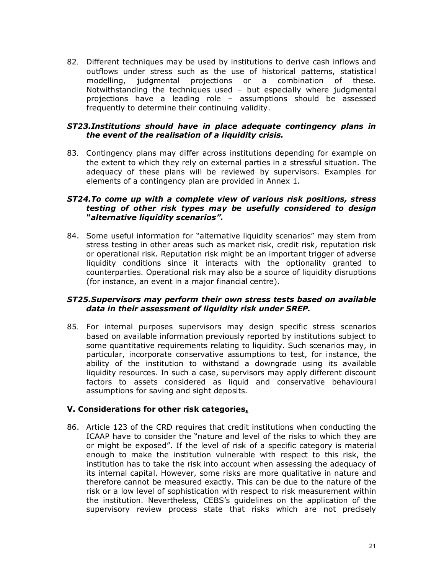82. Different techniques may be used by institutions to derive cash inflows and outflows under stress such as the use of historical patterns, statistical modelling, judgmental projections or a combination of these. Notwithstanding the techniques used  $-$  but especially where judgmental projections have a leading role – assumptions should be assessed frequently to determine their continuing validity.

### *ST23.Institutions should have in place adequate contingency plans in the event of the realisation of a liquidity crisis.*

83. Contingency plans may differ across institutions depending for example on the extent to which they rely on external parties in a stressful situation. The adequacy of these plans will be reviewed by supervisors. Examples for elements of a contingency plan are provided in Annex 1.

#### *ST24.To come up with a complete view of various risk positions, stress testing of other risk types may be usefully considered to design "alternative liquidity scenarios".*

84. Some useful information for "alternative liquidity scenarios" may stem from stress testing in other areas such as market risk, credit risk, reputation risk or operational risk. Reputation risk might be an important trigger of adverse liquidity conditions since it interacts with the optionality granted to counterparties. Operational risk may also be a source of liquidity disruptions (for instance, an event in a major financial centre).

### *ST25.Supervisors may perform their own stress tests based on available data in their assessment of liquidity risk under SREP.*

85. For internal purposes supervisors may design specific stress scenarios based on available information previously reported by institutions subject to some quantitative requirements relating to liquidity. Such scenarios may, in particular, incorporate conservative assumptions to test, for instance, the ability of the institution to withstand a downgrade using its available liquidity resources. In such a case, supervisors may apply different discount factors to assets considered as liquid and conservative behavioural assumptions for saving and sight deposits.

## **V. Considerations for other risk categories.**

86. Article 123 of the CRD requires that credit institutions when conducting the ICAAP have to consider the "nature and level of the risks to which they are or might be exposed". If the level of risk of a specific category is material enough to make the institution vulnerable with respect to this risk, the institution has to take the risk into account when assessing the adequacy of its internal capital. However, some risks are more qualitative in nature and therefore cannot be measured exactly. This can be due to the nature of the risk or a low level of sophistication with respect to risk measurement within the institution. Nevertheless, CEBS's guidelines on the application of the supervisory review process state that risks which are not precisely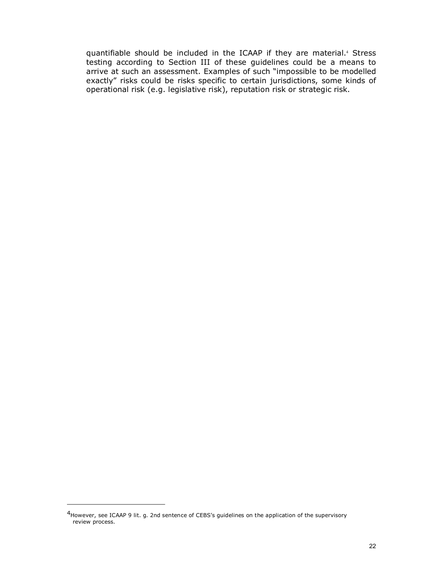<span id="page-21-0"></span>quantifiable should be included in the ICAAP if they are material. <sup>4</sup> Stress testing according to Section III of these guidelines could be a means to arrive at such an assessment. Examples of such "impossible to be modelled exactly" risks could be risks specific to certain jurisdictions, some kinds of operational risk (e.g. legislative risk), reputation risk or strategic risk.

<sup>4</sup> However, see ICAAP 9 lit. g. 2nd sentence of CEBS's guidelines on the application of the supervisory review process.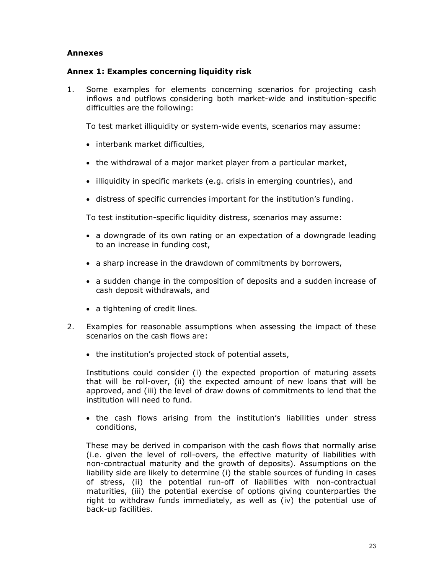## <span id="page-22-0"></span>**Annexes**

#### **Annex 1: Examples concerning liquidity risk**

1. Some examples for elements concerning scenarios for projecting cash inflows and outflows considering both market-wide and institution-specific difficulties are the following:

To test market illiquidity or system-wide events, scenarios may assume:

- · interbank market difficulties,
- · the withdrawal of a major market player from a particular market,
- illiquidity in specific markets (e.g. crisis in emerging countries), and
- · distress of specific currencies important for the institution's funding.

To test institution-specific liquidity distress, scenarios may assume:

- · a downgrade of its own rating or an expectation of a downgrade leading to an increase in funding cost,
- · a sharp increase in the drawdown of commitments by borrowers,
- · a sudden change in the composition of deposits and a sudden increase of cash deposit withdrawals, and
- a tightening of credit lines.
- 2. Examples for reasonable assumptions when assessing the impact of these scenarios on the cash flows are:
	- the institution's projected stock of potential assets,

Institutions could consider (i) the expected proportion of maturing assets that will be roll-over, (ii) the expected amount of new loans that will be approved, and (iii) the level of draw downs of commitments to lend that the institution will need to fund.

· the cash flows arising from the institution's liabilities under stress conditions,

These may be derived in comparison with the cash flows that normally arise (i.e. given the level of roll-overs, the effective maturity of liabilities with non-contractual maturity and the growth of deposits). Assumptions on the liability side are likely to determine (i) the stable sources of funding in cases of stress, (ii) the potential run-off of liabilities with non-contractual maturities, (iii) the potential exercise of options giving counterparties the right to withdraw funds immediately, as well as  $(iv)$  the potential use of back-up facilities.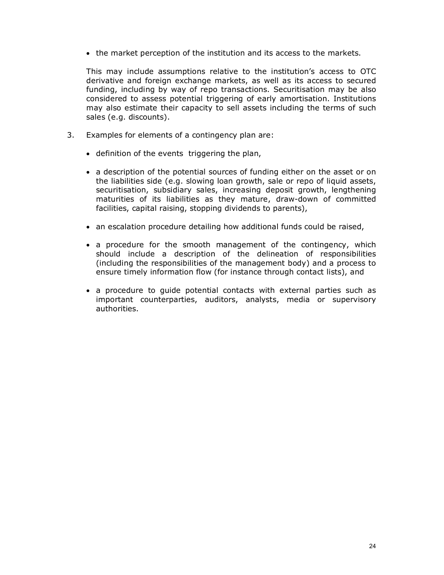· the market perception of the institution and its access to the markets.

This may include assumptions relative to the institution's access to OTC derivative and foreign exchange markets, as well as its access to secured funding, including by way of repo transactions. Securitisation may be also considered to assess potential triggering of early amortisation. Institutions may also estimate their capacity to sell assets including the terms of such sales (e.g. discounts).

- 3. Examples for elements of a contingency plan are:
	- · definition of the events triggering the plan,
	- · a description of the potential sources of funding either on the asset or on the liabilities side (e.g. slowing loan growth, sale or repo of liquid assets, securitisation, subsidiary sales, increasing deposit growth, lengthening maturities of its liabilities as they mature, draw-down of committed facilities, capital raising, stopping dividends to parents),
	- an escalation procedure detailing how additional funds could be raised,
	- · a procedure for the smooth management of the contingency, which should include a description of the delineation of responsibilities (including the responsibilities of the management body) and a process to ensure timely information flow (for instance through contact lists), and
	- · a procedure to guide potential contacts with external parties such as important counterparties, auditors, analysts, media or supervisory authorities.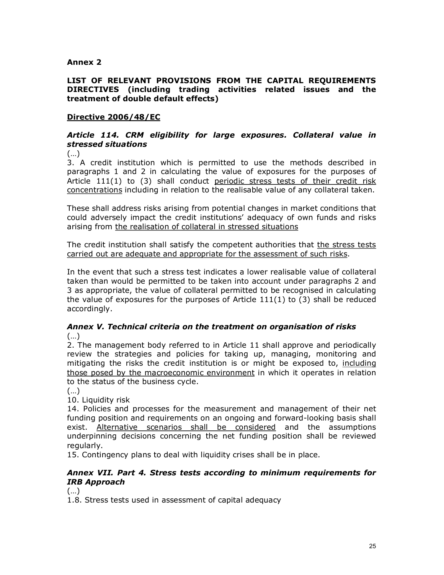# **Annex 2**

## **LIST OF RELEVANT PROVISIONS FROM THE CAPITAL REQUIREMENTS DIRECTIVES (including trading activities related issues and the treatment of double default effects)**

## **Directive 2006/48/EC**

## *Article 114. CRM eligibility for large exposures. Collateral value in stressed situations*

(…)

3. A credit institution which is permitted to use the methods described in paragraphs 1 and 2 in calculating the value of exposures for the purposes of Article 111(1) to (3) shall conduct periodic stress tests of their credit risk concentrations including in relation to the realisable value of any collateral taken.

These shall address risks arising from potential changes in market conditions that could adversely impact the credit institutions' adequacy of own funds and risks arising from the realisation of collateral in stressed situations

The credit institution shall satisfy the competent authorities that the stress tests carried out are adequate and appropriate for the assessment of such risks.

In the event that such a stress test indicates a lower realisable value of collateral taken than would be permitted to be taken into account under paragraphs 2 and 3 as appropriate, the value of collateral permitted to be recognised in calculating the value of exposures for the purposes of Article  $111(1)$  to (3) shall be reduced accordingly.

## *Annex V. Technical criteria on the treatment on organisation of risks* (…)

2. The management body referred to in Article 11 shall approve and periodically review the strategies and policies for taking up, managing, monitoring and mitigating the risks the credit institution is or might be exposed to, including those posed by the macroeconomic environment in which it operates in relation to the status of the business cycle.

(…)

10. Liquidity risk

14. Policies and processes for the measurement and management of their net funding position and requirements on an ongoing and forward-looking basis shall exist. Alternative scenarios shall be considered and the assumptions underpinning decisions concerning the net funding position shall be reviewed regularly.

15. Contingency plans to deal with liquidity crises shall be in place.

## *Annex VII. Part 4. Stress tests according to minimum requirements for IRB Approach*

(…)

1.8. Stress tests used in assessment of capital adequacy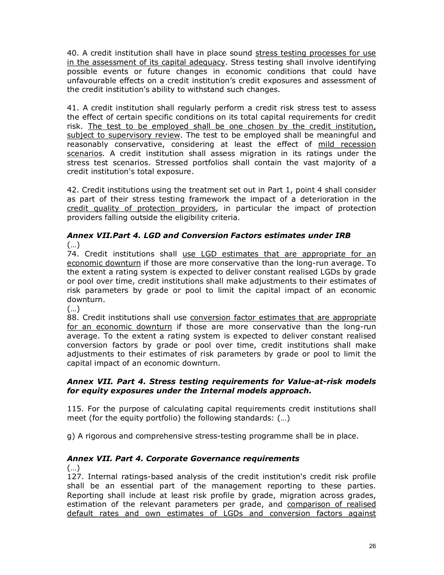40. A credit institution shall have in place sound stress testing processes for use in the assessment of its capital adequacy. Stress testing shall involve identifying possible events or future changes in economic conditions that could have unfavourable effects on a credit institution's credit exposures and assessment of the credit institution's ability to withstand such changes.

41. A credit institution shall regularly perform a credit risk stress test to assess the effect of certain specific conditions on its total capital requirements for credit risk. The test to be employed shall be one chosen by the credit institution, subject to supervisory review. The test to be employed shall be meaningful and reasonably conservative, considering at least the effect of mild recession scenarios. A credit institution shall assess migration in its ratings under the stress test scenarios. Stressed portfolios shall contain the vast majority of a credit institution's total exposure.

42. Credit institutions using the treatment set out in Part 1, point 4 shall consider as part of their stress testing framework the impact of a deterioration in the credit quality of protection providers, in particular the impact of protection providers falling outside the eligibility criteria.

## *Annex VII.Part 4. LGD and Conversion Factors estimates under IRB*   $(\ldots)$

74. Credit institutions shall use LGD estimates that are appropriate for an economic downturn if those are more conservative than the long-run average. To the extent a rating system is expected to deliver constant realised LGDs by grade or pool over time, credit institutions shall make adjustments to their estimates of risk parameters by grade or pool to limit the capital impact of an economic downturn.

(…)

88. Credit institutions shall use conversion factor estimates that are appropriate for an economic downturn if those are more conservative than the long-run average. To the extent a rating system is expected to deliver constant realised conversion factors by grade or pool over time, credit institutions shall make adjustments to their estimates of risk parameters by grade or pool to limit the capital impact of an economic downturn.

# *Annex VII. Part 4. Stress testing requirements for Value-at-risk models for equity exposures under the Internal models approach.*

115. For the purpose of calculating capital requirements credit institutions shall meet (for the equity portfolio) the following standards: (…)

g) A rigorous and comprehensive stresstesting programme shall be in place.

# *Annex VII. Part 4. Corporate Governance requirements*

(…)

127. Internal ratings-based analysis of the credit institution's credit risk profile shall be an essential part of the management reporting to these parties. Reporting shall include at least risk profile by grade, migration across grades, estimation of the relevant parameters per grade, and comparison of realised default rates and own estimates of LGDs and conversion factors against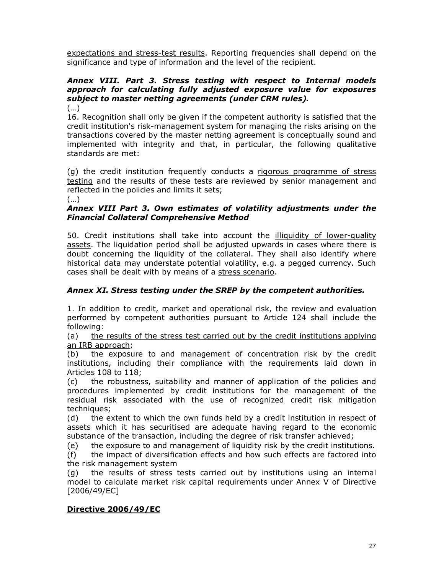expectations and stress-test results. Reporting frequencies shall depend on the significance and type of information and the level of the recipient.

# *Annex VIII. Part 3. Stress testing with respect to Internal models approach for calculating fully adjusted exposure value for exposures subject to master netting agreements (under CRM rules).*

(…)

16. Recognition shall only be given if the competent authority is satisfied that the credit institution's risk-management system for managing the risks arising on the transactions covered by the master netting agreement is conceptually sound and implemented with integrity and that, in particular, the following qualitative standards are met:

(g) the credit institution frequently conducts a rigorous programme of stress testing and the results of these tests are reviewed by senior management and reflected in the policies and limits it sets;

(…)

## *Annex VIII Part 3. Own estimates of volatility adjustments under the Financial Collateral Comprehensive Method*

50. Credit institutions shall take into account the illiquidity of lower-quality assets. The liquidation period shall be adjusted upwards in cases where there is doubt concerning the liquidity of the collateral. They shall also identify where historical data may understate potential volatility, e.g. a pegged currency. Such cases shall be dealt with by means of a stress scenario.

# *Annex XI. Stress testing under the SREP by the competent authorities.*

1. In addition to credit, market and operational risk, the review and evaluation performed by competent authorities pursuant to Article 124 shall include the following:

(a) the results of the stress test carried out by the credit institutions applying an IRB approach;

(b) the exposure to and management of concentration risk by the credit institutions, including their compliance with the requirements laid down in Articles 108 to 118;

(c) the robustness, suitability and manner of application of the policies and procedures implemented by credit institutions for the management of the residual risk associated with the use of recognized credit risk mitigation techniques;

(d) the extent to which the own funds held by a credit institution in respect of assets which it has securitised are adequate having regard to the economic substance of the transaction, including the degree of risk transfer achieved;

(e) the exposure to and management of liquidity risk by the credit institutions.

(f) the impact of diversification effects and how such effects are factored into the risk management system

(g) the results of stress tests carried out by institutions using an internal model to calculate market risk capital requirements under Annex V of Directive [2006/49/EC]

# **Directive 2006/49/EC**